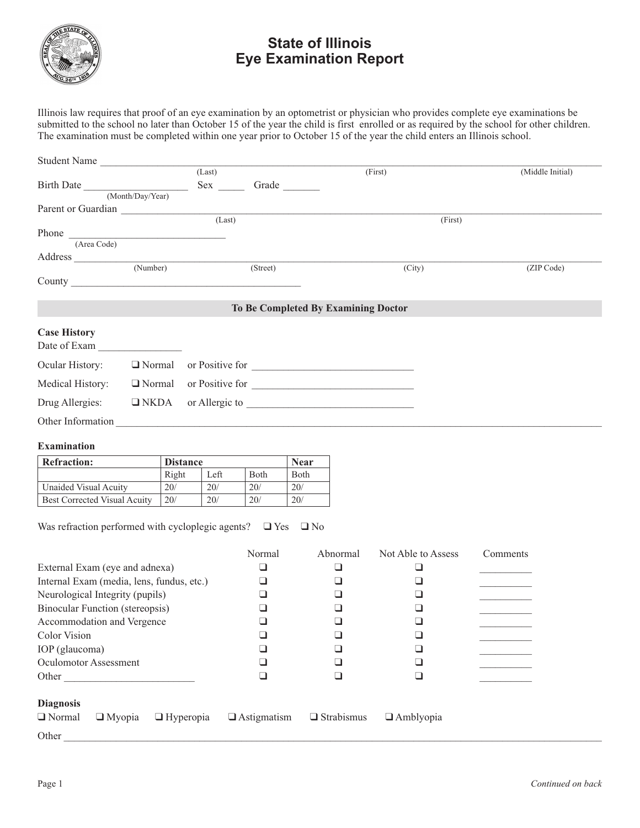

## **State of Illinois Eye Examination Report**

Illinois law requires that proof of an eye examination by an optometrist or physician who provides complete eye examinations be submitted to the school no later than October 15 of the year the child is first enrolled or as required by the school for other children. The examination must be completed within one year prior to October 15 of the year the child enters an Illinois school.

| Student Name        |                                               |        |          |                                     |                  |  |
|---------------------|-----------------------------------------------|--------|----------|-------------------------------------|------------------|--|
|                     |                                               | (Last) |          | (First)                             | (Middle Initial) |  |
| Birth Date          |                                               | Sex    | Grade    |                                     |                  |  |
|                     | (Month/Day/Year)                              |        |          |                                     |                  |  |
| Parent or Guardian  |                                               |        |          |                                     |                  |  |
|                     | (Last)                                        |        |          | (First)                             |                  |  |
| Phone               | <u> 1980 - Jan Barbara Barbara, maso a se</u> |        |          |                                     |                  |  |
| (Area Code)         |                                               |        |          |                                     |                  |  |
| Address             |                                               |        |          |                                     |                  |  |
|                     | (Number)                                      |        | (Street) | (City)                              | (ZIP Code)       |  |
|                     |                                               |        |          |                                     |                  |  |
|                     |                                               |        |          |                                     |                  |  |
|                     |                                               |        |          | To Be Completed By Examining Doctor |                  |  |
| <b>Case History</b> |                                               |        |          |                                     |                  |  |
| Date of Exam        |                                               |        |          |                                     |                  |  |
| Ocular History:     | $\Box$ Normal                                 |        |          | or Positive for                     |                  |  |
| Medical History:    | $\Box$ Normal                                 |        |          | or Positive for                     |                  |  |
| Drug Allergies:     | $\Box$ NKDA                                   |        |          |                                     |                  |  |

## **Examination**

| <b>Refraction:</b>                  | <b>Distance</b> |      | <b>Near</b>     |              |
|-------------------------------------|-----------------|------|-----------------|--------------|
|                                     | Right           | Left | <b>B</b> oth    | <b>B</b> oth |
| Unaided Visual Acuity               | 20/             | 20/  | 20/             | 20/          |
| <b>Best Corrected Visual Acuity</b> | 20/             | 20/  | 20 <sub>l</sub> | 20/          |

Other Information \_\_\_\_\_\_\_\_\_\_\_\_\_\_\_\_\_\_\_\_\_\_\_\_\_\_\_\_\_\_\_\_\_\_\_\_\_\_\_\_\_\_\_\_\_\_\_\_\_\_\_\_\_\_\_\_\_\_\_\_\_\_\_\_\_\_\_\_\_\_\_\_\_\_\_\_\_\_\_\_\_\_\_\_\_\_\_\_\_\_\_\_\_

Was refraction performed with cycloplegic agents?  $\Box$  Yes  $\Box$  No

|                                                    | Normal             | Abnormal          | Not Able to Assess | Comments |
|----------------------------------------------------|--------------------|-------------------|--------------------|----------|
| External Exam (eye and adnexa)                     |                    |                   |                    |          |
| Internal Exam (media, lens, fundus, etc.)          |                    |                   |                    |          |
| Neurological Integrity (pupils)                    |                    |                   |                    |          |
| <b>Binocular Function (stereopsis)</b>             |                    |                   |                    |          |
| Accommodation and Vergence                         |                    |                   |                    |          |
| Color Vision                                       |                    |                   |                    |          |
| IOP (glaucoma)                                     |                    |                   |                    |          |
| <b>Oculomotor Assessment</b>                       |                    |                   |                    |          |
| Other                                              |                    |                   |                    |          |
|                                                    |                    |                   |                    |          |
| <b>Diagnosis</b>                                   |                    |                   |                    |          |
| $\Box$ Normal<br>$\Box$ Myopia<br>$\Box$ Hyperopia | $\Box$ Astigmatism | $\Box$ Strabismus | $\Box$ Amblyopia   |          |
| Other                                              |                    |                   |                    |          |